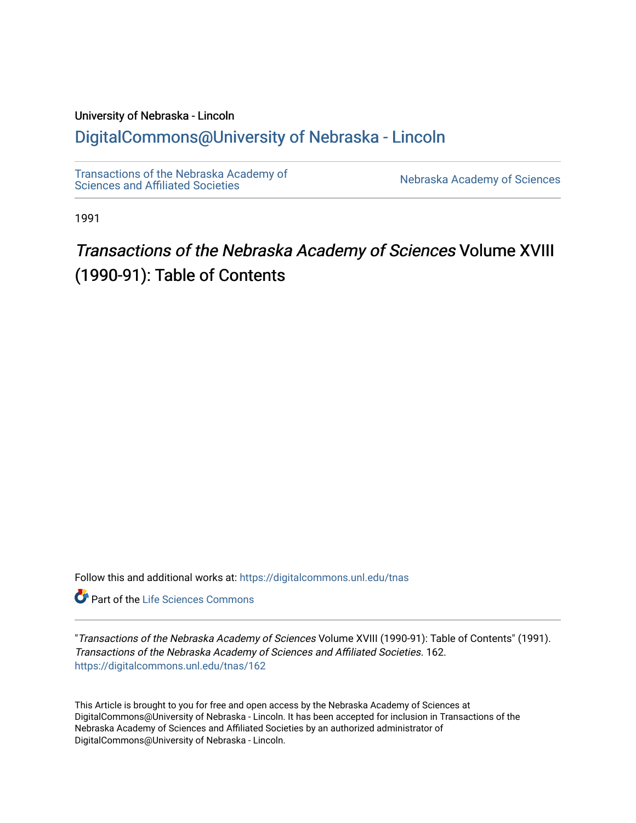# University of Nebraska - Lincoln

# [DigitalCommons@University of Nebraska - Lincoln](https://digitalcommons.unl.edu/)

[Transactions of the Nebraska Academy of](https://digitalcommons.unl.edu/tnas)  Transactions of the Nebraska Academy of Sciences<br>Sciences and Affiliated Societies

1991

# Transactions of the Nebraska Academy of Sciences Volume XVIII (1990-91): Table of Contents

Follow this and additional works at: [https://digitalcommons.unl.edu/tnas](https://digitalcommons.unl.edu/tnas?utm_source=digitalcommons.unl.edu%2Ftnas%2F162&utm_medium=PDF&utm_campaign=PDFCoverPages) 

**Part of the Life Sciences Commons** 

"Transactions of the Nebraska Academy of Sciences Volume XVIII (1990-91): Table of Contents" (1991). Transactions of the Nebraska Academy of Sciences and Affiliated Societies. 162. [https://digitalcommons.unl.edu/tnas/162](https://digitalcommons.unl.edu/tnas/162?utm_source=digitalcommons.unl.edu%2Ftnas%2F162&utm_medium=PDF&utm_campaign=PDFCoverPages) 

This Article is brought to you for free and open access by the Nebraska Academy of Sciences at DigitalCommons@University of Nebraska - Lincoln. It has been accepted for inclusion in Transactions of the Nebraska Academy of Sciences and Affiliated Societies by an authorized administrator of DigitalCommons@University of Nebraska - Lincoln.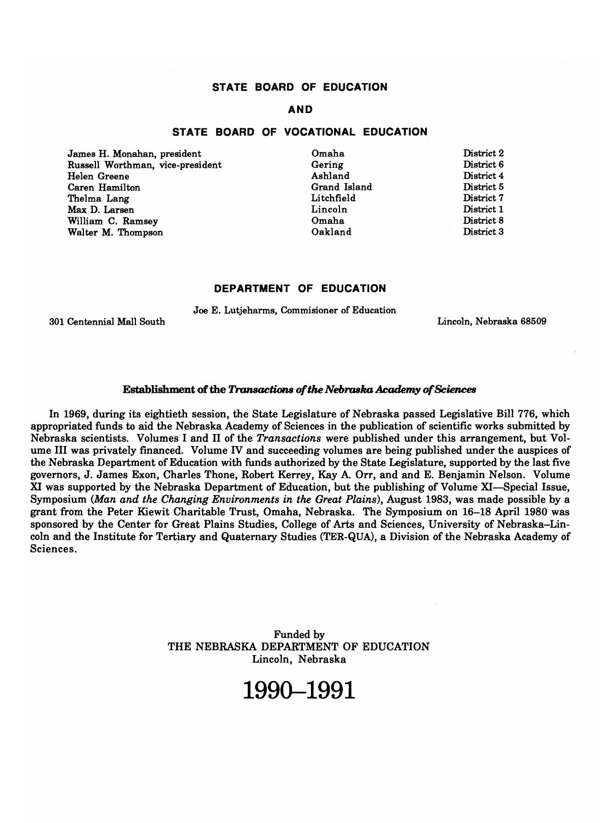## **STATE BOARD OF EDUCATION**

## **AND**

### **STATE BOARD OF VOCATIONAL EDUCATION**

James H. Monahan, president Russell Worthman, vice-president Helen Greene Caren Hamilton Thelma Lang Max D. Larsen William C. Ramsey Walter M. Thompson

Omaha Gering Ashland Grand Island Litchfield Lincoln Omaha Oakland

District 2 District 6 District 4 District 5 District 7 District 1 District 8 District 3

### **DEPARTMENT OF EDUCATION**

Joe E. Lutjeharms, Commisioner of Education

301 Centennial Mall South

Lincoln, Nebraska 68509

### Establishment of the *Transactions of the Nebraska Academy of Sciences*

In 1969, during its eightieth session, the State Legislature of Nebraska passed Legislative Bill 776, which appropriated funds to aid the Nebraska Academy of Sciences in the publication of scientific works submitted by Nebraska scientists. Volumes I and II of the *Transactions* were published under this arrangement, but Volume III was privately financed. Volume IV and succeeding volumes are being published under the auspices of the Nebraska Department of Education with funds authorized by the State Legislature, supported by the last five governors, J. James Exon, Charles Thone, Robert Kerrey, Kay A Orr, and and E. Benjamin Nelson. Volume XI was supported by the Nebraska Department of Education, but the publishing of Volume XI-Special Issue, Symposium *(Man and the Changing Environments in the Great Plains),* August 1983, was made possible by a grant from the Peter Kiewit Charitable Trust, Omaha, Nebraska. The Symposium on 16-18 April 1980 was sponsored by the Center for Great Plains Studies, College of Arts and Sciences, University of Nebraska-Lincoln and the Institute for Tertiary and Quaternary Studies (TER-QUA), a Division of the Nebraska Academy of Sciences.

> Funded by THE NEBRASKA DEPARTMENT OF EDUCATION Lincoln, Nebraska

# **1990-1991**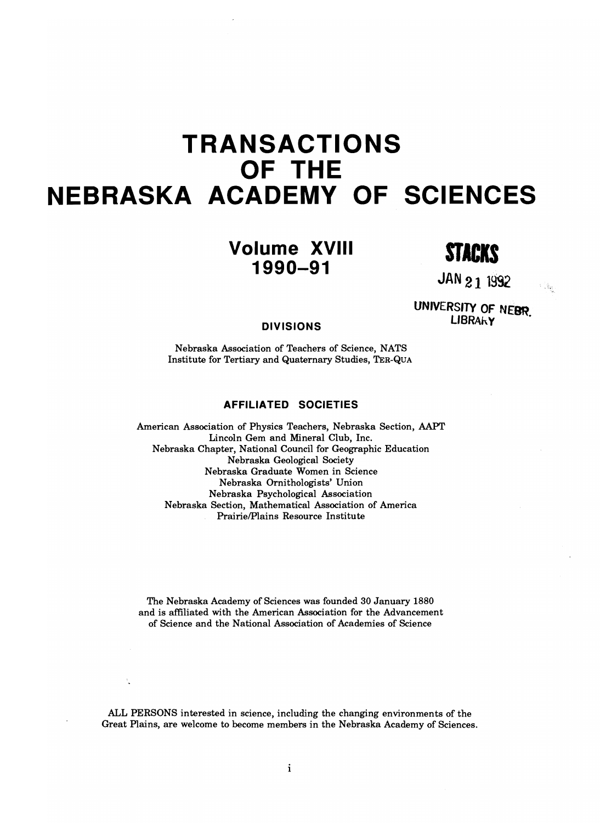# **TRANSACTIONS OF THE NEBRASKA ACADEMY OF SCIENCES**

**STACKS Volume XVIII 1990-91** 

**JAN 21 1992** 

 $\mathcal{F}^{\mathcal{G}}(\mathfrak{g}_{\mathcal{G}})$ 

**UNIVERSITY OF NEBBLE LIBRAHY** . *LIBRAHY* . *DIVISIONS* 

Nebraska Association of Teachers of Science, NATS Institute for Tertiary and Quaternary Studies, TER-QUA

## **AFFILIATED SOCIETIES**

American Association of Physics Teachers, Nebraska Section, AAPT Lincoln Gem and Mineral Club, Inc. Nebraska Chapter, National Council for Geographic Education Nebraska Geological Society Nebraska Graduate Women in Science Nebraska Ornithologists' Union Nebraska Psychological Association Nebraska Section, Mathematical Association of America PrairielPlains Resource Institute

The Nebraska Academy of Sciences was founded 30 January 1880 and is affiliated with the American Association for the Advancement of Science and the National Association of Academies of Science

ALL PERSONS interested in science, including the changing environments of the Great Plains, are welcome to become members in the Nebraska Academy of Sciences.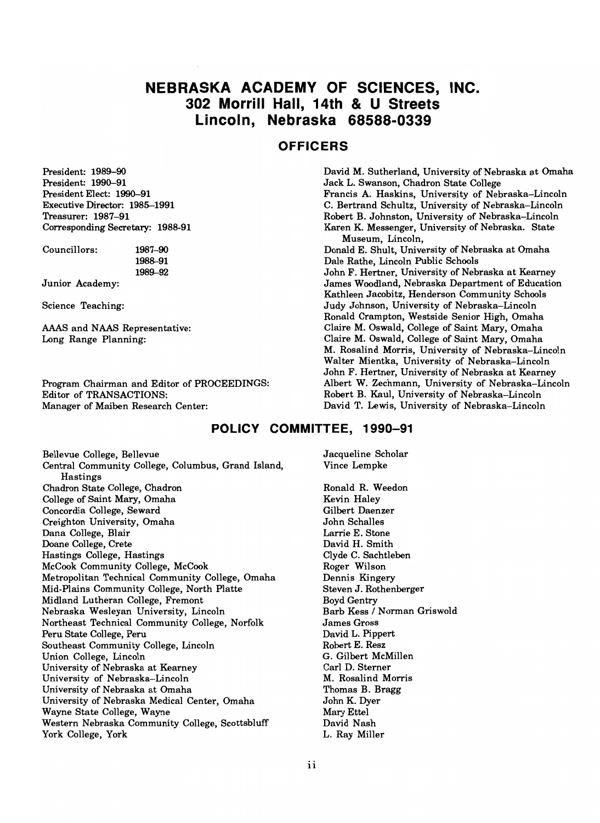# **NEBRASKA ACADEMY OF SCIENCES, INC. 302 Morrill Hall, 14th & U Streets Lincoln, Nebraska 68588-0339**

# **OFFICERS**

President: 1989-90 President: 1990-91 President Elect: 1990-91 Executive Director: 1985-1991 Treasurer: 1987-91 Corresponding Secretary: 1988-91

Councillors: 1987-90 1988-91 1989-92

Junior Academy:

Science Teaching:

AAAS and NAAS Representative: Long Range Planning:

Program Chairman and Editor of PROCEEDINGS: Editor of TRANSACTIONS: Manager of Maiben Research Center:

David M. Sutherland, University of Nebraska at Omaha Jack L. Swanson, Chadron State College Francis A. Haskins, University of Nebraska-Lincoln C. Bertrand Schultz, University of Nebraska-Lincoln Robert B. Johnston, University of Nebraska-Lincoln Karen K. Messenger, University of Nebraska. State Museum, Lincoln, Donald E. Shult, University of Nebraska at Omaha Dale Rathe, Lincoln Public Schools John F. Hertner, University of Nebraska at Kearney James Woodland, Nebraska Department of Education Kathleen Jacobitz, Henderson Community Schools Judy Johnson, University of Nebraska-Lincoln Ronald Crampton, Westside Senior High, Omaha Claire M. Oswald, College of Saint Mary, Omaha Claire M. Oswald, College of Saint Mary, Omaha M. Rosalind Morris, University of Nebraska-Lincoln Walter Mientka, University of Nebraska-Lincoln John F. Hertner, University of Nebraska at Kearney Albert W. Zechmann, University of Nebraska-Lincoln Robert B. Kaul, University of Nebraska-Lincoln David T. Lewis, University of Nebraska-Lincoln

## **POLICY COMMITTEE, 1990-91**

Bellevue College, Bellevue Central Community College, Columbus, Grand Island, Hastings Chadron State College, Chadron College of Saint Mary, Omaha Concordia College, Seward Creighton University, Omaha Dana College, Blair Doane College, Crete Hastings College, Hastings McCook Community College, McCook Metropolitan Technical Community College, Omaha Mid-Plains Community College, North Platte Midland Lutheran College, Fremont Nebraska Wesleyan University, Lincoln Northeast Technical Community College, Norfolk Peru State College, Peru Southeast Community College, Lincoln Union College, Lincoln University of Nebraska at Kearney University of Nebraska-Lincoln University of Nebraska at Omaha University of Nebraska Medical Center, Omaha Wayne State College, Wayne Western Nebraska Community College, Scottsbluff York College, York

Jacqueline Scholar Vince Lempke

Ronald R. Weedon Kevin Haley Gilbert Daenzer John Schalles Larrie E. Stone David H. Smith Clyde C. Sachtleben Roger Wilson Dennis Kingery Steven J. Rothenberger Boyd Gentry Barb Kess / Norman Griswold James Gross David L. Pippert Robert E. Resz G. Gilbert McMillen Carl D. Sterner M. Rosalind Morris Thomas B. Bragg John K. Dyer Mary Ettel David Nash L. Ray Miller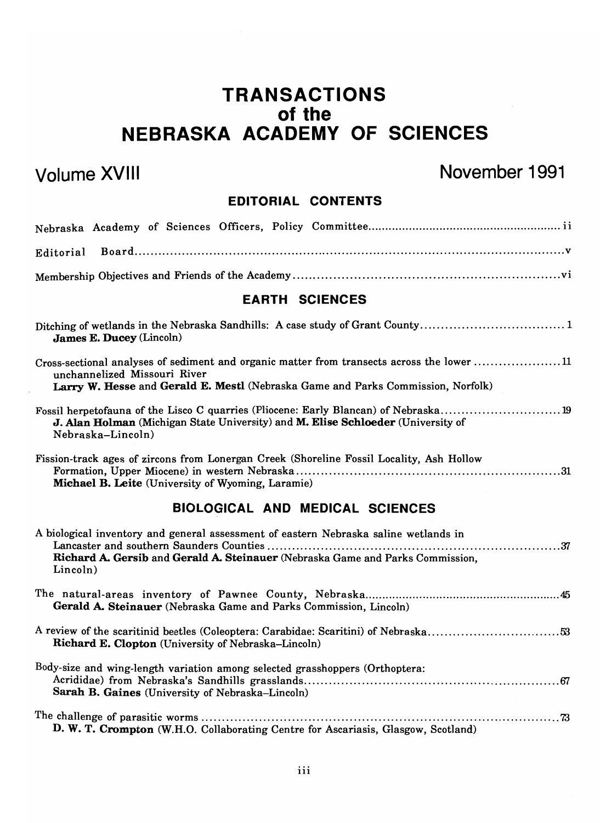# **TRANSACTIONS of the NEBRASKA ACADEMY OF SCIENCES**

# Volume XVIII November 1991

# **EDITORIAL CONTENTS**

| Editorial                                                                                                                                                                                                      |  |  |  |
|----------------------------------------------------------------------------------------------------------------------------------------------------------------------------------------------------------------|--|--|--|
|                                                                                                                                                                                                                |  |  |  |
| <b>EARTH SCIENCES</b>                                                                                                                                                                                          |  |  |  |
| Ditching of wetlands in the Nebraska Sandhills: A case study of Grant County1<br>James E. Ducey (Lincoln)                                                                                                      |  |  |  |
| Cross-sectional analyses of sediment and organic matter from transects across the lower 11<br>unchannelized Missouri River<br>Larry W. Hesse and Gerald E. Mestl (Nebraska Game and Parks Commission, Norfolk) |  |  |  |
| Fossil herpetofauna of the Lisco C quarries (Pliocene: Early Blancan) of Nebraska19<br>J. Alan Holman (Michigan State University) and M. Elise Schloeder (University of<br>Nebraska-Lincoln)                   |  |  |  |
| Fission-track ages of zircons from Lonergan Creek (Shoreline Fossil Locality, Ash Hollow<br>Michael B. Leite (University of Wyoming, Laramie)                                                                  |  |  |  |
| <b>BIOLOGICAL AND MEDICAL SCIENCES</b>                                                                                                                                                                         |  |  |  |
| A biological inventory and general assessment of eastern Nebraska saline wetlands in<br>Richard A. Gersib and Gerald A. Steinauer (Nebraska Game and Parks Commission,<br>Lincoln)                             |  |  |  |
| Gerald A. Steinauer (Nebraska Game and Parks Commission, Lincoln)                                                                                                                                              |  |  |  |
| Richard E. Clopton (University of Nebraska–Lincoln)                                                                                                                                                            |  |  |  |
| Body-size and wing-length variation among selected grasshoppers (Orthoptera:<br>Sarah B. Gaines (University of Nebraska–Lincoln)                                                                               |  |  |  |
| D. W. T. Crompton (W.H.O. Collaborating Centre for Ascariasis, Glasgow, Scotland)                                                                                                                              |  |  |  |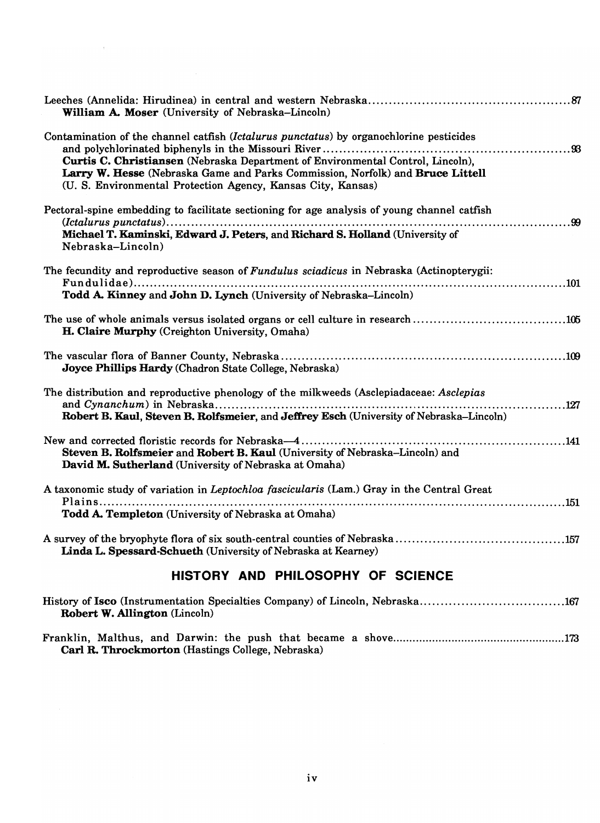| William A. Moser (University of Nebraska-Lincoln)                                                                                                                                                                                                                                                                            |  |  |  |
|------------------------------------------------------------------------------------------------------------------------------------------------------------------------------------------------------------------------------------------------------------------------------------------------------------------------------|--|--|--|
| Contamination of the channel catfish (Ictalurus punctatus) by organochlorine pesticides<br>Curtis C. Christiansen (Nebraska Department of Environmental Control, Lincoln),<br>Larry W. Hesse (Nebraska Game and Parks Commission, Norfolk) and Bruce Littell<br>(U. S. Environmental Protection Agency, Kansas City, Kansas) |  |  |  |
| Pectoral-spine embedding to facilitate sectioning for age analysis of young channel catfish<br>Michael T. Kaminski, Edward J. Peters, and Richard S. Holland (University of<br>Nebraska-Lincoln)                                                                                                                             |  |  |  |
| The fecundity and reproductive season of Fundulus sciadicus in Nebraska (Actinopterygii:<br>Todd A. Kinney and John D. Lynch (University of Nebraska–Lincoln)                                                                                                                                                                |  |  |  |
| The use of whole animals versus isolated organs or cell culture in research105<br>H. Claire Murphy (Creighton University, Omaha)                                                                                                                                                                                             |  |  |  |
| Joyce Phillips Hardy (Chadron State College, Nebraska)                                                                                                                                                                                                                                                                       |  |  |  |
| The distribution and reproductive phenology of the milkweeds (Asclepiadaceae: Asclepias<br>Robert B. Kaul, Steven B. Rolfsmeier, and Jeffrey Esch (University of Nebraska-Lincoln)                                                                                                                                           |  |  |  |
| Steven B. Rolfsmeier and Robert B. Kaul (University of Nebraska-Lincoln) and<br>David M. Sutherland (University of Nebraska at Omaha)                                                                                                                                                                                        |  |  |  |
| A taxonomic study of variation in Leptochloa fascicularis (Lam.) Gray in the Central Great                                                                                                                                                                                                                                   |  |  |  |
| Todd A. Templeton (University of Nebraska at Omaha)                                                                                                                                                                                                                                                                          |  |  |  |
| Linda L. Spessard-Schueth (University of Nebraska at Kearney)                                                                                                                                                                                                                                                                |  |  |  |
| HISTORY AND PHILOSOPHY OF SCIENCE                                                                                                                                                                                                                                                                                            |  |  |  |

 $\bar{\gamma}$ 

| <b>Robert W. Allington</b> (Lincoln) |  |
|--------------------------------------|--|

Franklin, Malthus, and Darwin: the push that became a shove  $\ldots$   $\ldots$   $\ldots$   $\ldots$   $\ldots$   $\ldots$   $\ldots$   $\ldots$   $\ldots$   $\ldots$ mini, martines, and Darwini the pash that seed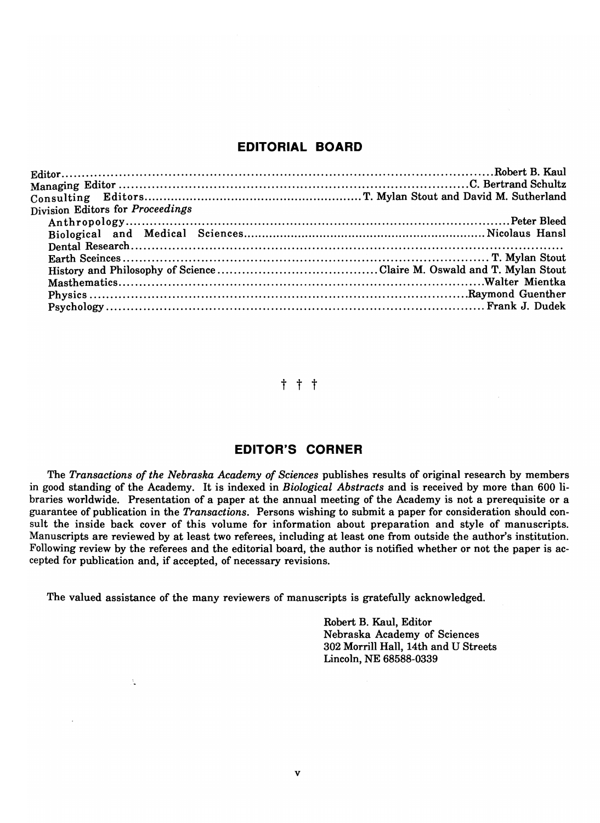# **EDITORIAL BOARD**

| Division Editors for Proceedings |  |
|----------------------------------|--|
|                                  |  |
|                                  |  |
|                                  |  |
|                                  |  |
|                                  |  |
|                                  |  |
|                                  |  |
|                                  |  |

# t t t

# **EDITOR'S CORNER**

The *Transactions of the Nebraska Academy of Sciences* publishes results of original research by members in good standing of the Academy. It is indexed in *Biological Abstracts* and is received by more than 600 libraries worldwide. Presentation of a paper at the annual meeting of the Academy is not a prerequisite or a guarantee of publication in the *Transactions.* Persons wishing to submit a paper for consideration should consult the inside back cover of this volume for information about preparation and style of manuscripts. Manuscripts are reviewed by at least two referees, including at least one from outside the author's institution. Following review by the referees and the editorial board, the author is notified whether or not the paper is accepted for publication and, if accepted, of necessary revisions.

The valued assistance of the many reviewers of manuscripts is gratefully acknowledged.

ś,

Robert B. Kaul, Editor Nebraska Academy of Sciences 302 Morrill Hall, 14th and U Streets Lincoln, NE 68588-0339